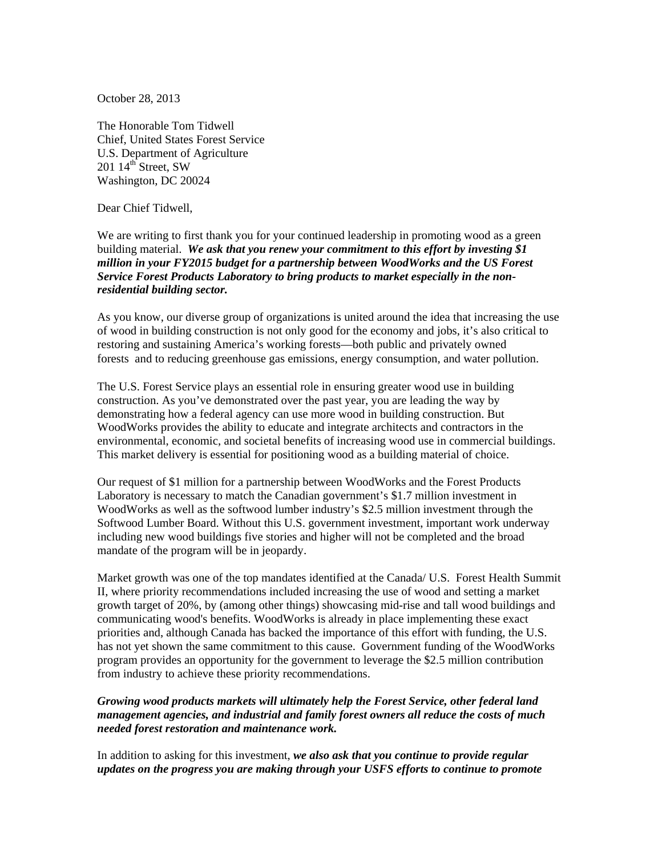October 28, 2013

The Honorable Tom Tidwell Chief, United States Forest Service U.S. Department of Agriculture  $201 \; 14^{\text{th}}$  Street, SW Washington, DC 20024

Dear Chief Tidwell,

We are writing to first thank you for your continued leadership in promoting wood as a green building material. *We ask that you renew your commitment to this effort by investing \$1 million in your FY2015 budget for a partnership between WoodWorks and the US Forest Service Forest Products Laboratory to bring products to market especially in the nonresidential building sector.*

As you know, our diverse group of organizations is united around the idea that increasing the use of wood in building construction is not only good for the economy and jobs, it's also critical to restoring and sustaining America's working forests—both public and privately owned forests and to reducing greenhouse gas emissions, energy consumption, and water pollution.

The U.S. Forest Service plays an essential role in ensuring greater wood use in building construction. As you've demonstrated over the past year, you are leading the way by demonstrating how a federal agency can use more wood in building construction. But WoodWorks provides the ability to educate and integrate architects and contractors in the environmental, economic, and societal benefits of increasing wood use in commercial buildings. This market delivery is essential for positioning wood as a building material of choice.

Our request of \$1 million for a partnership between WoodWorks and the Forest Products Laboratory is necessary to match the Canadian government's \$1.7 million investment in WoodWorks as well as the softwood lumber industry's \$2.5 million investment through the Softwood Lumber Board. Without this U.S. government investment, important work underway including new wood buildings five stories and higher will not be completed and the broad mandate of the program will be in jeopardy.

Market growth was one of the top mandates identified at the Canada/ U.S. Forest Health Summit II, where priority recommendations included increasing the use of wood and setting a market growth target of 20%, by (among other things) showcasing mid-rise and tall wood buildings and communicating wood's benefits. WoodWorks is already in place implementing these exact priorities and, although Canada has backed the importance of this effort with funding, the U.S. has not yet shown the same commitment to this cause. Government funding of the WoodWorks program provides an opportunity for the government to leverage the \$2.5 million contribution from industry to achieve these priority recommendations.

## *Growing wood products markets will ultimately help the Forest Service, other federal land management agencies, and industrial and family forest owners all reduce the costs of much needed forest restoration and maintenance work.*

In addition to asking for this investment, *we also ask that you continue to provide regular updates on the progress you are making through your USFS efforts to continue to promote*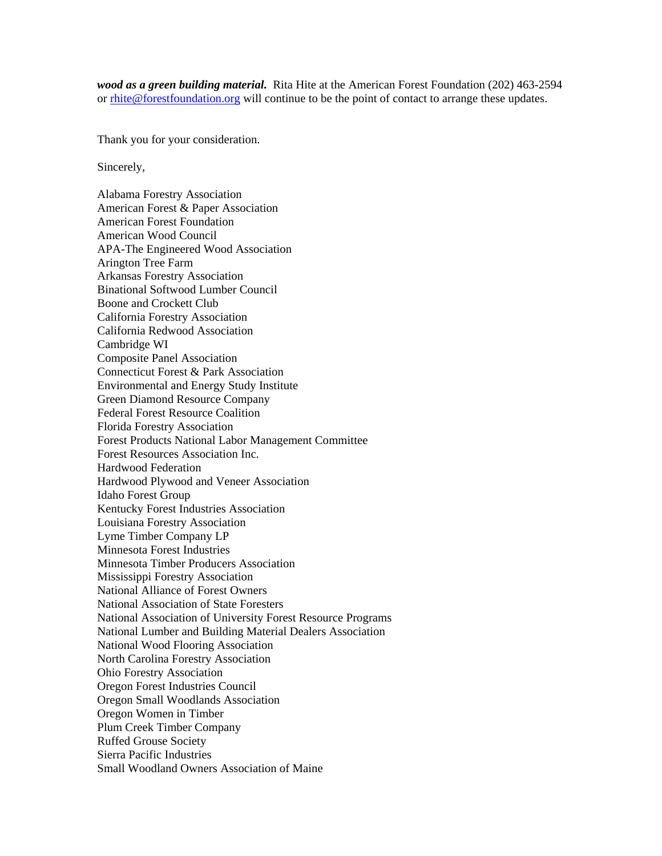*wood as a green building material.* Rita Hite at the American Forest Foundation (202) 463-2594 or rhite@forestfoundation.org will continue to be the point of contact to arrange these updates.

Thank you for your consideration.

Sincerely,

Alabama Forestry Association American Forest & Paper Association American Forest Foundation American Wood Council APA-The Engineered Wood Association Arington Tree Farm Arkansas Forestry Association Binational Softwood Lumber Council Boone and Crockett Club California Forestry Association California Redwood Association Cambridge WI Composite Panel Association Connecticut Forest & Park Association Environmental and Energy Study Institute Green Diamond Resource Company Federal Forest Resource Coalition Florida Forestry Association Forest Products National Labor Management Committee Forest Resources Association Inc. Hardwood Federation Hardwood Plywood and Veneer Association Idaho Forest Group Kentucky Forest Industries Association Louisiana Forestry Association Lyme Timber Company LP Minnesota Forest Industries Minnesota Timber Producers Association Mississippi Forestry Association National Alliance of Forest Owners National Association of State Foresters National Association of University Forest Resource Programs National Lumber and Building Material Dealers Association National Wood Flooring Association North Carolina Forestry Association Ohio Forestry Association Oregon Forest Industries Council Oregon Small Woodlands Association Oregon Women in Timber Plum Creek Timber Company Ruffed Grouse Society Sierra Pacific Industries Small Woodland Owners Association of Maine